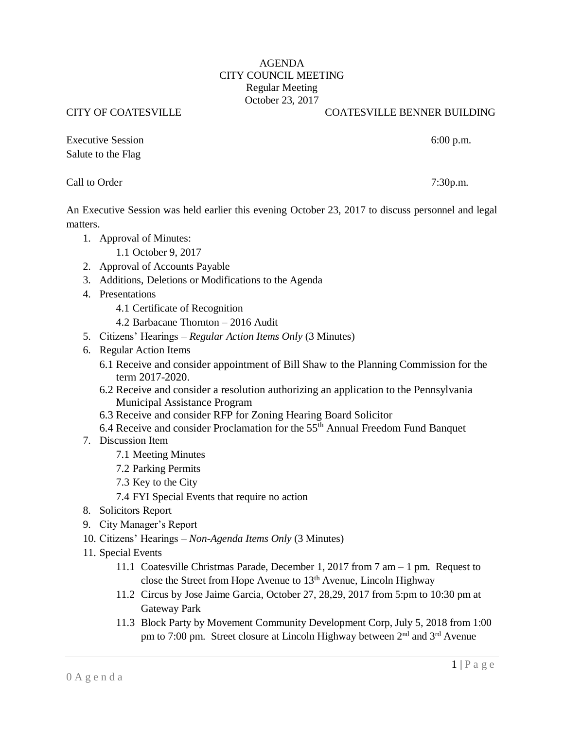## AGENDA CITY COUNCIL MEETING Regular Meeting October 23, 2017

## CITY OF COATESVILLE COATESVILLE BENNER BUILDING

Executive Session 6:00 p.m. Salute to the Flag

## Call to Order7:30p.m.

An Executive Session was held earlier this evening October 23, 2017 to discuss personnel and legal matters.

- 1. Approval of Minutes:
	- 1.1 October 9, 2017
- 2. Approval of Accounts Payable
- 3. Additions, Deletions or Modifications to the Agenda
- 4. Presentations
	- 4.1 Certificate of Recognition
	- 4.2 Barbacane Thornton 2016 Audit
- 5. Citizens' Hearings *Regular Action Items Only* (3 Minutes)
- 6. Regular Action Items
	- 6.1 Receive and consider appointment of Bill Shaw to the Planning Commission for the term 2017-2020.
	- 6.2 Receive and consider a resolution authorizing an application to the Pennsylvania Municipal Assistance Program
	- 6.3 Receive and consider RFP for Zoning Hearing Board Solicitor
	- 6.4 Receive and consider Proclamation for the 55th Annual Freedom Fund Banquet
- 7. Discussion Item
	- 7.1 Meeting Minutes
	- 7.2 Parking Permits
	- 7.3 Key to the City
	- 7.4 FYI Special Events that require no action
- 8. Solicitors Report
- 9. City Manager's Report
- 10. Citizens' Hearings *Non-Agenda Items Only* (3 Minutes)
- 11. Special Events
	- 11.1 Coatesville Christmas Parade, December 1, 2017 from 7 am 1 pm. Request to close the Street from Hope Avenue to 13<sup>th</sup> Avenue, Lincoln Highway
	- 11.2 Circus by Jose Jaime Garcia, October 27, 28,29, 2017 from 5:pm to 10:30 pm at Gateway Park
	- 11.3 Block Party by Movement Community Development Corp, July 5, 2018 from 1:00 pm to 7:00 pm. Street closure at Lincoln Highway between 2<sup>nd</sup> and 3<sup>rd</sup> Avenue